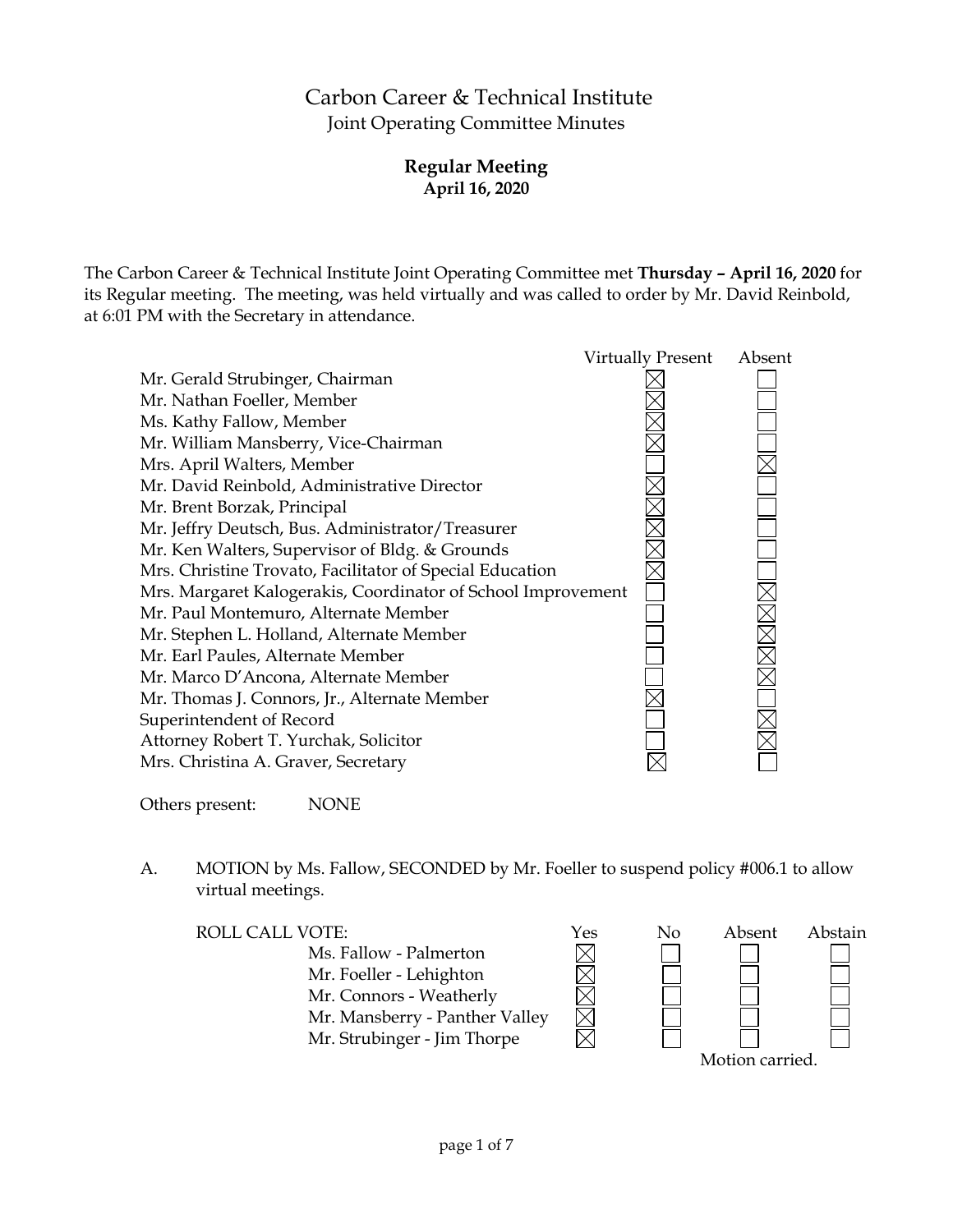# Carbon Career & Technical Institute Joint Operating Committee Minutes

# **Regular Meeting April 16, 2020**

The Carbon Career & Technical Institute Joint Operating Committee met **Thursday – April 16, 2020** for its Regular meeting. The meeting, was held virtually and was called to order by Mr. David Reinbold, at 6:01 PM with the Secretary in attendance.



Others present: NONE

A. MOTION by Ms. Fallow, SECONDED by Mr. Foeller to suspend policy #006.1 to allow virtual meetings.

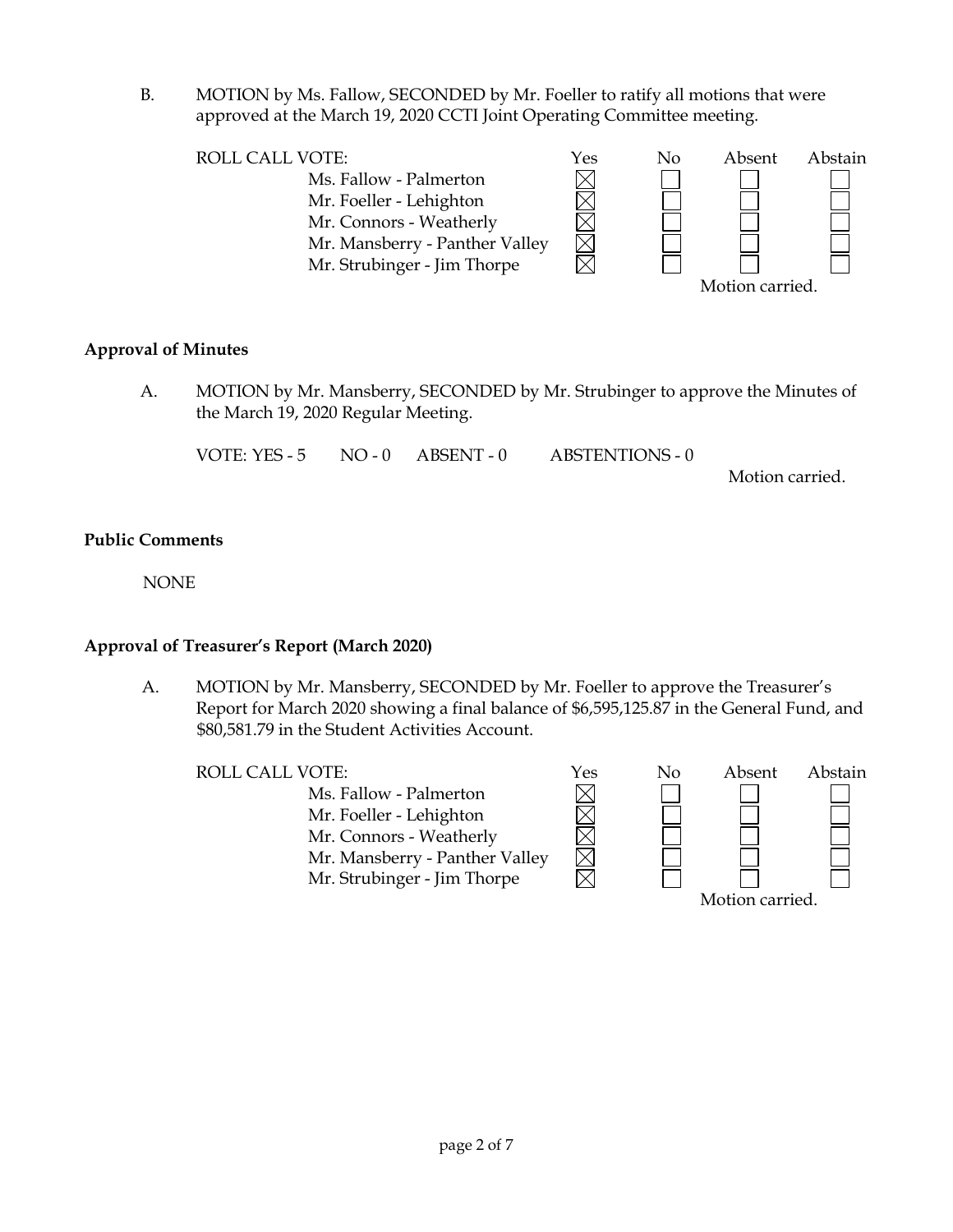B. MOTION by Ms. Fallow, SECONDED by Mr. Foeller to ratify all motions that were approved at the March 19, 2020 CCTI Joint Operating Committee meeting.



# **Approval of Minutes**

A. MOTION by Mr. Mansberry, SECONDED by Mr. Strubinger to approve the Minutes of the March 19, 2020 Regular Meeting.

VOTE: YES - 5 NO - 0 ABSENT - 0 ABSTENTIONS - 0

Motion carried.

# **Public Comments**

NONE

# **Approval of Treasurer's Report (March 2020)**

A. MOTION by Mr. Mansberry, SECONDED by Mr. Foeller to approve the Treasurer's Report for March 2020 showing a final balance of \$6,595,125.87 in the General Fund, and \$80,581.79 in the Student Activities Account.

Ms. Fallow - Palmerton Mr. Foeller - Lehighton Mr. Connors - Weatherly Mr. Mansberry - Panther Valley Mr. Strubinger - Jim Thorpe

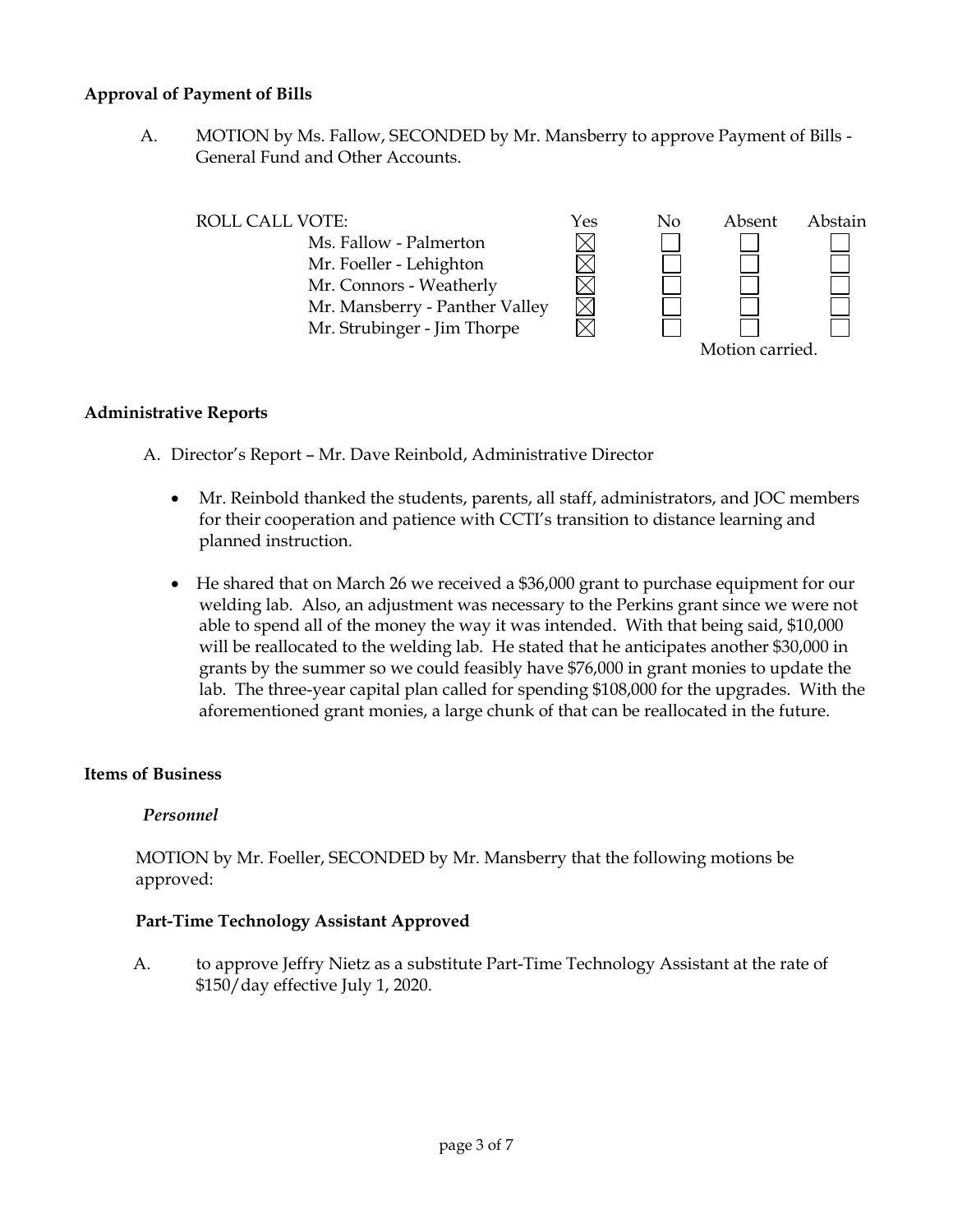# **Approval of Payment of Bills**

A. MOTION by Ms. Fallow, SECONDED by Mr. Mansberry to approve Payment of Bills - General Fund and Other Accounts.

| ROLL CALL VOTE:                | Yes | No | Absent          | Abstain |  |
|--------------------------------|-----|----|-----------------|---------|--|
| Ms. Fallow - Palmerton         |     |    |                 |         |  |
| Mr. Foeller - Lehighton        |     |    |                 |         |  |
| Mr. Connors - Weatherly        |     |    |                 |         |  |
| Mr. Mansberry - Panther Valley |     |    |                 |         |  |
| Mr. Strubinger - Jim Thorpe    |     |    |                 |         |  |
|                                |     |    | Motion carried. |         |  |

#### **Administrative Reports**

A. Director's Report – Mr. Dave Reinbold, Administrative Director

- Mr. Reinbold thanked the students, parents, all staff, administrators, and JOC members for their cooperation and patience with CCTI's transition to distance learning and planned instruction.
- He shared that on March 26 we received a \$36,000 grant to purchase equipment for our welding lab. Also, an adjustment was necessary to the Perkins grant since we were not able to spend all of the money the way it was intended. With that being said, \$10,000 will be reallocated to the welding lab. He stated that he anticipates another \$30,000 in grants by the summer so we could feasibly have \$76,000 in grant monies to update the lab. The three-year capital plan called for spending \$108,000 for the upgrades. With the aforementioned grant monies, a large chunk of that can be reallocated in the future.

#### **Items of Business**

# *Personnel*

MOTION by Mr. Foeller, SECONDED by Mr. Mansberry that the following motions be approved:

# **Part-Time Technology Assistant Approved**

A. to approve Jeffry Nietz as a substitute Part-Time Technology Assistant at the rate of \$150/day effective July 1, 2020.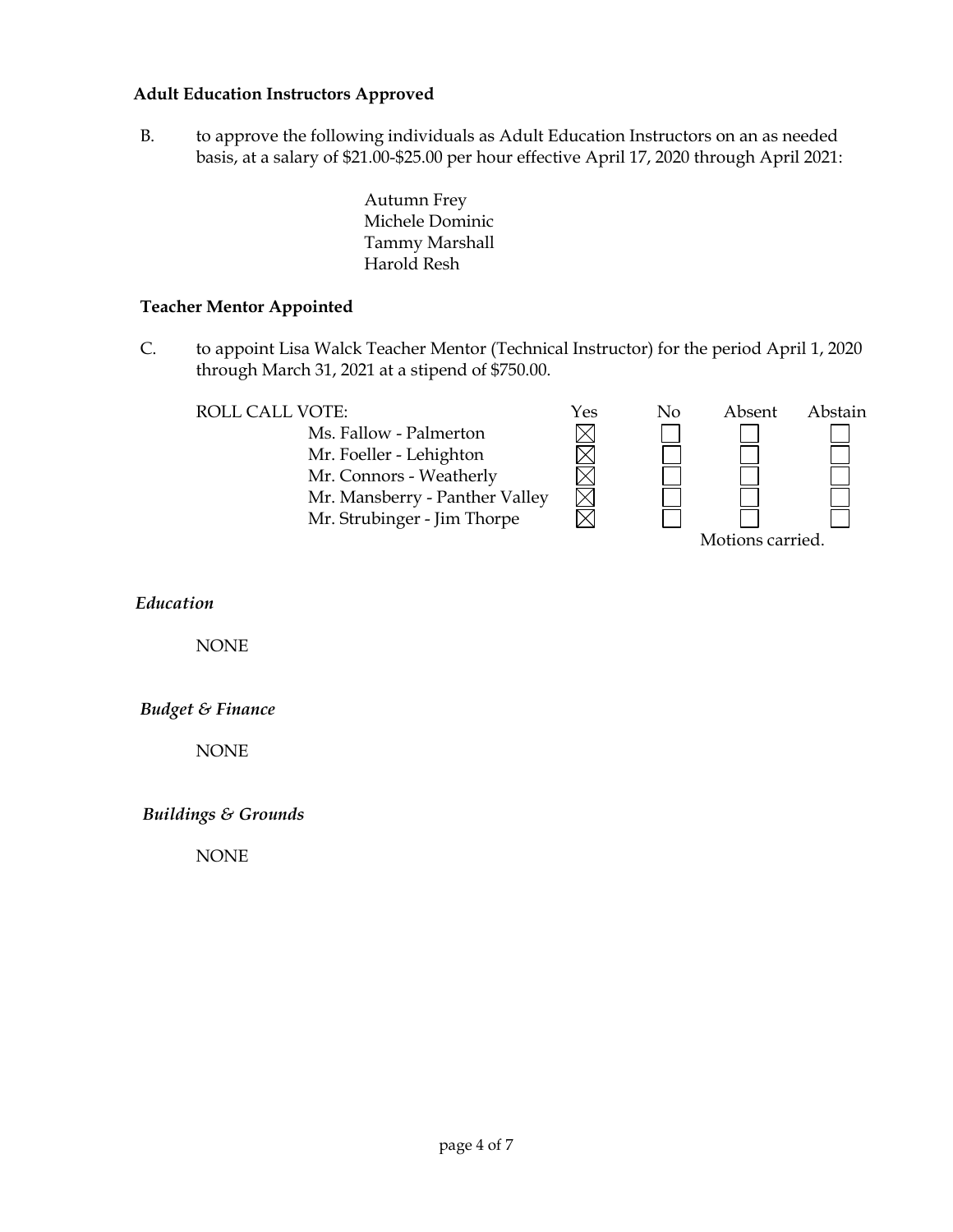# **Adult Education Instructors Approved**

B. to approve the following individuals as Adult Education Instructors on an as needed basis, at a salary of \$21.00-\$25.00 per hour effective April 17, 2020 through April 2021:

> Autumn Frey Michele Dominic Tammy Marshall Harold Resh

#### **Teacher Mentor Appointed**

C. to appoint Lisa Walck Teacher Mentor (Technical Instructor) for the period April 1, 2020 through March 31, 2021 at a stipend of \$750.00.

MMMM

岗

Ms. Fallow - Palmerton Mr. Foeller - Lehighton Mr. Connors - Weatherly Mr. Mansberry - Panther Valley Mr. Strubinger - Jim Thorpe



*Education*

NONE

*Budget & Finance*

NONE

*Buildings & Grounds*

NONE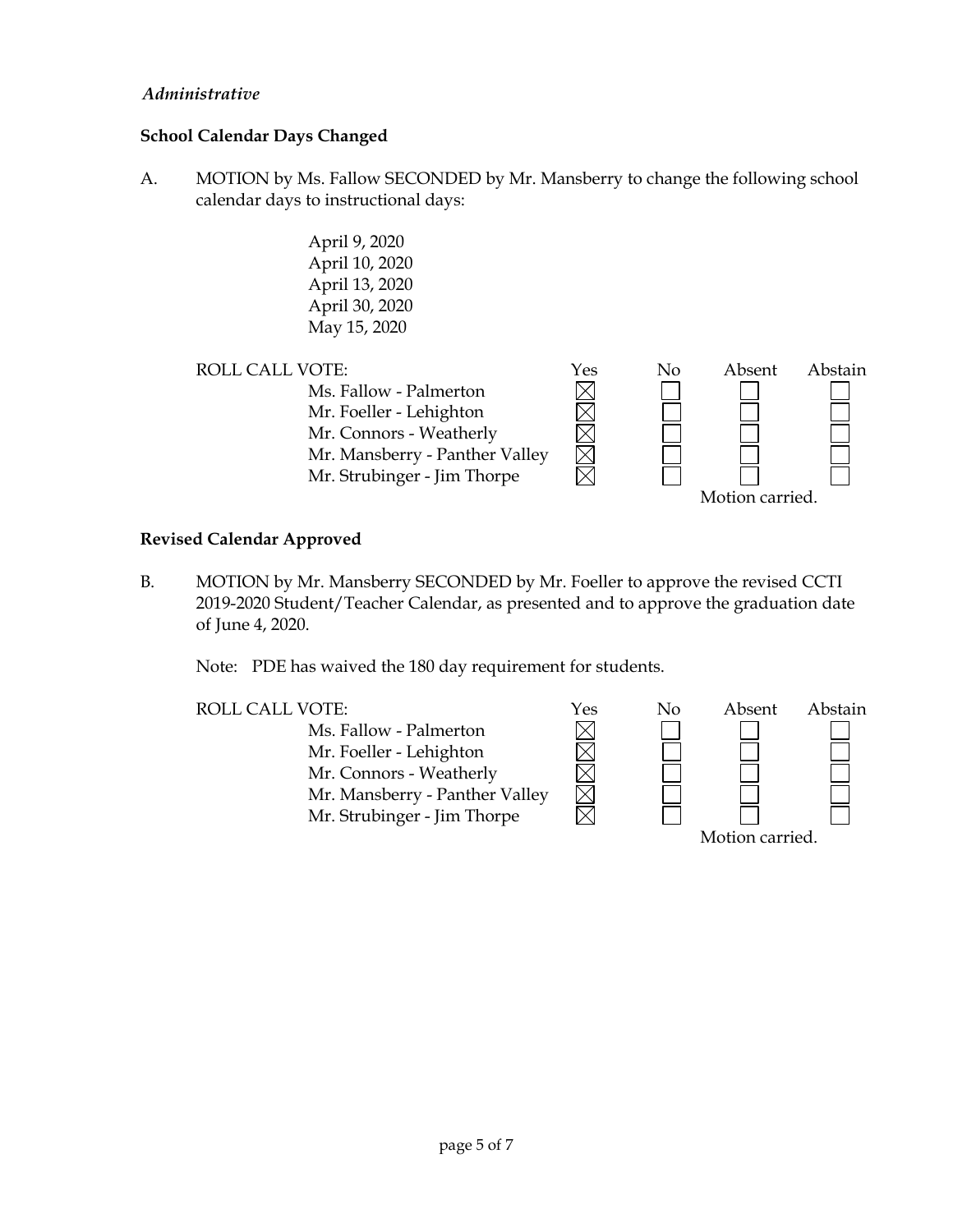# *Administrative*

# **School Calendar Days Changed**

- A. MOTION by Ms. Fallow SECONDED by Mr. Mansberry to change the following school calendar days to instructional days:
	- April 9, 2020 April 10, 2020 April 13, 2020 April 30, 2020 May 15, 2020



# **Revised Calendar Approved**

B. MOTION by Mr. Mansberry SECONDED by Mr. Foeller to approve the revised CCTI 2019-2020 Student/Teacher Calendar, as presented and to approve the graduation date of June 4, 2020.

Note: PDE has waived the 180 day requirement for students.

Ms. Fallow - Palmerton  $\boxtimes$  $\overline{\boxtimes}$ Mr. Foeller - Lehighton Mr. Connors - Weatherly Mr. Mansberry - Panther Valley Mr. Strubinger - Jim Thorpe

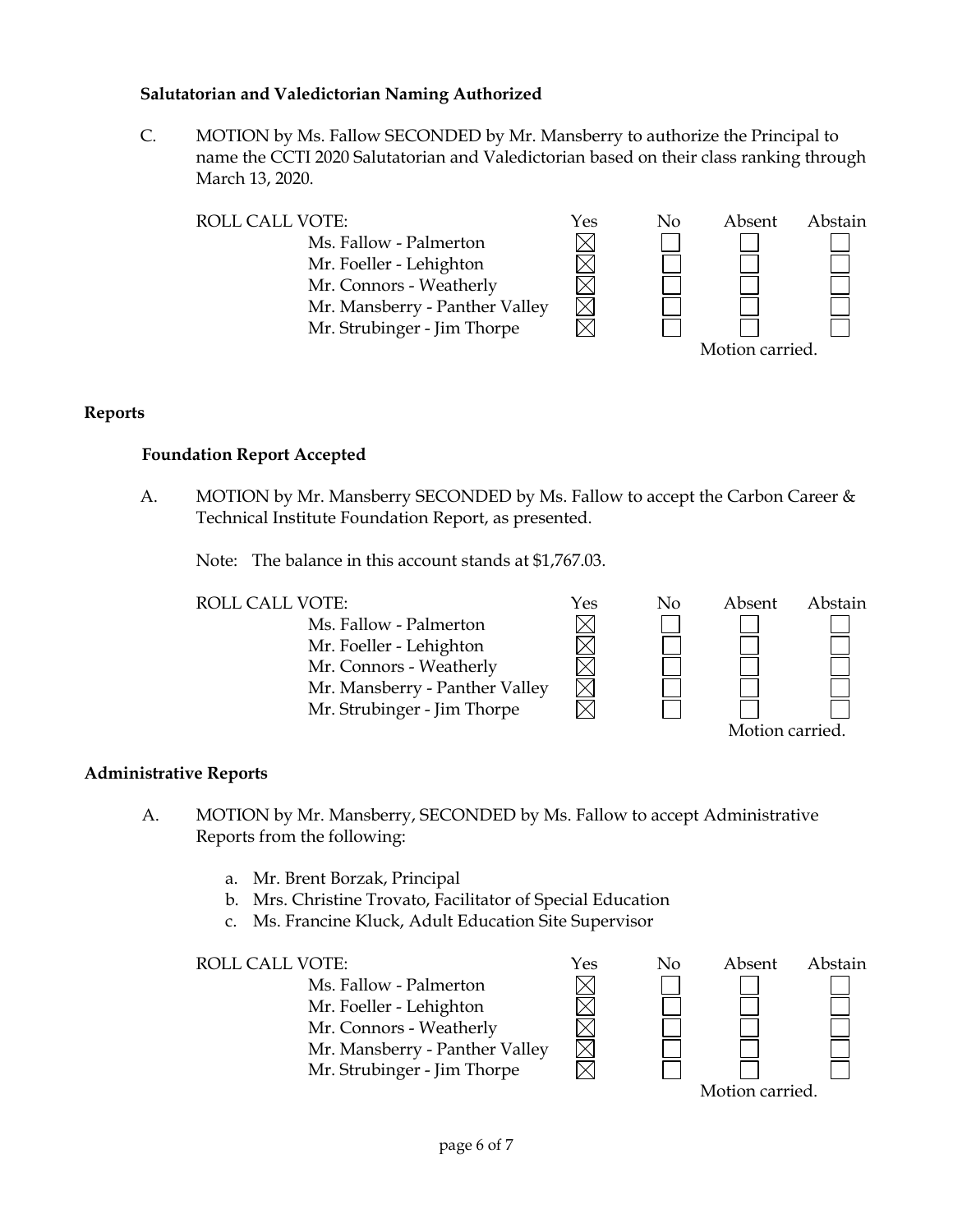# **Salutatorian and Valedictorian Naming Authorized**

C. MOTION by Ms. Fallow SECONDED by Mr. Mansberry to authorize the Principal to name the CCTI 2020 Salutatorian and Valedictorian based on their class ranking through March 13, 2020.

| <b>ROLL CALL VOTE:</b>         | Yes | Nο | Absent          | Abstain |  |
|--------------------------------|-----|----|-----------------|---------|--|
| Ms. Fallow - Palmerton         |     |    |                 |         |  |
| Mr. Foeller - Lehighton        |     |    |                 |         |  |
| Mr. Connors - Weatherly        |     |    |                 |         |  |
| Mr. Mansberry - Panther Valley |     |    |                 |         |  |
| Mr. Strubinger - Jim Thorpe    |     |    |                 |         |  |
|                                |     |    | Motion carried. |         |  |

# **Reports**

# **Foundation Report Accepted**

A. MOTION by Mr. Mansberry SECONDED by Ms. Fallow to accept the Carbon Career & Technical Institute Foundation Report, as presented.

Note: The balance in this account stands at \$1,767.03.



# **Administrative Reports**

- A. MOTION by Mr. Mansberry, SECONDED by Ms. Fallow to accept Administrative Reports from the following:
	- a. Mr. Brent Borzak, Principal
	- b. Mrs. Christine Trovato, Facilitator of Special Education
	- c. Ms. Francine Kluck, Adult Education Site Supervisor

ROLL CALL VOTE:  $\gamma$ es No Absent Abstain Ms. Fallow - Palmerton Mr. Foeller - Lehighton Mr. Connors - Weatherly Mr. Mansberry - Panther Valley Mr. Strubinger - Jim Thorpe Motion carried.